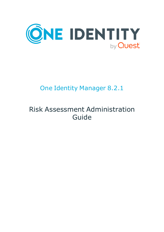

# One Identity Manager 8.2.1

# Risk Assessment Administration Guide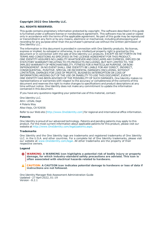#### **Copyright 2022 One Identity LLC.**

#### **ALL RIGHTS RESERVED.**

This guide contains proprietary information protected by copyright. The software described in this guide is furnished under a software license or nondisclosure agreement. This software may be used or copied only in accordance with the terms of the applicable agreement. No part of this guide may be reproduced or transmitted in any form or by any means, electronic or mechanical, including photocopying and recording for any purpose other than the purchaser's personal use without the written permission of One Identity LLC .

The information in this document is provided in connection with One Identity products. No license, express or implied, by estoppel or otherwise, to any intellectual property right is granted by this document or in connection with the sale of One Identity LLC products. EXCEPT AS SET FORTH IN THE TERMS AND CONDITIONS AS SPECIFIED IN THE LICENSE AGREEMENT FOR THIS PRODUCT, ONE IDENTITY ASSUMES NO LIABILITY WHATSOEVER AND DISCLAIMS ANY EXPRESS, IMPLIED OR STATUTORY WARRANTY RELATING TO ITS PRODUCTS INCLUDING, BUT NOT LIMITED TO, THE IMPLIED WARRANTY OF MERCHANTABILITY, FITNESS FOR A PARTICULAR PURPOSE, OR NON-INFRINGEMENT. IN NO EVENT SHALL ONE IDENTITY BE LIABLE FOR ANY DIRECT, INDIRECT, CONSEQUENTIAL, PUNITIVE, SPECIAL OR INCIDENTAL DAMAGES (INCLUDING, WITHOUT LIMITATION, DAMAGES FOR LOSS OF PROFITS, BUSINESS INTERRUPTION OR LOSS OF INFORMATION) ARISING OUT OF THE USE OR INABILITY TO USE THIS DOCUMENT, EVEN IF ONE IDENTITY HAS BEEN ADVISED OF THE POSSIBILITY OF SUCH DAMAGES. One Identity makes no representations or warranties with respect to the accuracy or completeness of the contents of this document and reserves the right to make changes to specifications and product descriptions at any time without notice. One Identity does not make any commitment to update the information contained in this document.

If you have any questions regarding your potential use of this material, contact:

One Identity LLC. Attn: LEGAL Dept 4 Polaris Way Aliso Viejo, CA 92656

Refer to our Web site ([http://www.OneIdentity.com](http://www.oneidentity.com/)) for regional and international office information.

#### **Patents**

One Identity is proud of our advanced technology. Patents and pending patents may apply to this product. For the most current information about applicable patents for this product, please visit our website at [http://www.OneIdentity.com/legal/patents.aspx](http://www.oneidentity.com/legal/patents.aspx).

#### **Trademarks**

One Identity and the One Identity logo are trademarks and registered trademarks of One Identity LLC. in the U.S.A. and other countries. For a complete list of One Identity trademarks, please visit our website at [www.OneIdentity.com/legal](http://www.oneidentity.com/legal). All other trademarks are the property of their respective owners.

#### **Legend**

**WARNING: A WARNING icon highlights a potential risk of bodily injury or property damage, for which industry-standard safety precautions are advised. This icon is often associated with electrical hazards related to hardware.**

**CAUTION: A CAUTION icon indicates potential damage to hardware or loss of data if** A **instructions are not followed.**

One Identity Manager Risk Assessment Administration Guide Updated - 27 April 2022, 01:19 Version - 8.2.1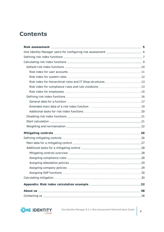## **Contents**

| Risk index for hierarchical roles and IT Shop structures 13 |  |
|-------------------------------------------------------------|--|
|                                                             |  |
|                                                             |  |
|                                                             |  |
|                                                             |  |
|                                                             |  |
|                                                             |  |
|                                                             |  |
|                                                             |  |
|                                                             |  |
|                                                             |  |
|                                                             |  |
|                                                             |  |
|                                                             |  |
|                                                             |  |
|                                                             |  |
|                                                             |  |
|                                                             |  |
|                                                             |  |
|                                                             |  |
|                                                             |  |
|                                                             |  |
|                                                             |  |
|                                                             |  |

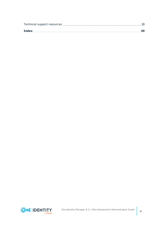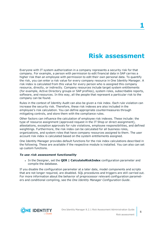## **Risk assessment**

<span id="page-4-0"></span>Everyone with IT system authorization in a company represents a security risk for that company. For example, a person with permission to edit financial data in SAP carries a higher risk than an employee with permission to edit their own personal data. To quantify the risk, you can enter a risk value for every company resource in One Identity Manager. A risk index is calculated from this value for every person who is assigned this company resource, directly, or indirectly. Company resources include target system entitlements (for example, Active Directory groups or SAP profiles), system roles, subscribable reports, software, and resources. In this way, all the people that represent a particular risk to the company can be found.

Rules in the context of Identity Audit can also be given a risk index. Each rule violation can increase the security risk. Therefore, these risk indexes are also included in the employee's risk calculation. You can define appropriate countermeasures through mitigating controls, and store them with the compliance rules.

Other factors can influence the calculation of employee risk indexes. These include: the type of resource assignment (approved request in the IT Shop or direct assignment), attestations, exception approvals for rule violations, employee responsibilities, and defined weightings. Furthermore, the risk index can be calculated for all business roles, organizations, and system roles that have company resources assigned to them. The user account risk index is calculated based on the system entitlements assigned.

One Identity Manager provides default functions for the risk index calculations described in the following. These are available if the respective module is installed. You can also can set up custom functions.

#### *To use risk assessment functionality*

<sup>l</sup> In the Designer, set the **QER | CalculateRiskIndex** configuration parameter and compile the database.

If you disable the configuration parameter at a later date, model components and scripts that are not longer required, are disabled. SQL procedures and triggers are still carried out. For more information about the behavior of preprocessor relevant configuration parameters and conditional compiling, see the *One Identity Manager Configuration Guide*.

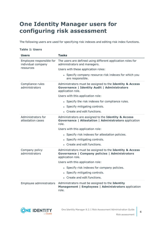## <span id="page-5-0"></span>**One Identity Manager users for configuring risk assessment**

The following users are used for specifying risk indexes and editing risk index functions.

#### **Table 1: Users**

| <b>Users</b>                                   | <b>Tasks</b>                                                                                                                         |
|------------------------------------------------|--------------------------------------------------------------------------------------------------------------------------------------|
| Employee responsible for<br>individual company | The users are defined using different application roles for<br>administrators and managers.                                          |
| resources                                      | Users with these application roles:                                                                                                  |
|                                                | • Specify company resource risk indexes for which you<br>are responsible.                                                            |
| Compliance rules<br>administrators             | Administrators must be assigned to the Identity & Access<br><b>Governance   Identity Audit   Administrators</b><br>application role. |
|                                                | Users with this application role:                                                                                                    |
|                                                | • Specify the risk indexes for compliance rules.                                                                                     |
|                                                | • Specify mitigating controls.                                                                                                       |
|                                                | • Create and edit functions.                                                                                                         |
| Administrators for<br>attestation cases        | Administrators are assigned to the Identity & Access<br><b>Governance   Attestation   Administrators application</b><br>role.        |
|                                                | Users with this application role:                                                                                                    |
|                                                | • Specify risk indexes for attestation policies.                                                                                     |
|                                                | • Specify mitigating controls.                                                                                                       |
|                                                | • Create and edit functions.                                                                                                         |
| Company policy<br>administrators               | Administrators must be assigned to the Identity & Access<br>Governance   Company policies   Administrators<br>application role.      |
|                                                | Users with this application role:                                                                                                    |
|                                                | • Specify risk indexes for company policies.                                                                                         |
|                                                | • Specify mitigating controls.                                                                                                       |
|                                                | • Create and edit functions.                                                                                                         |
| Employee administrators                        | Administrators must be assigned to the Identity<br>Management   Employees   Administrators application<br>role.                      |

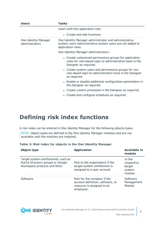| <b>Users</b>                           | Tasks                                                                                                                                        |  |  |  |
|----------------------------------------|----------------------------------------------------------------------------------------------------------------------------------------------|--|--|--|
|                                        | Users with this application role:                                                                                                            |  |  |  |
|                                        | • Create and edit functions.                                                                                                                 |  |  |  |
| One Identity Manager<br>administrators | One Identity Manager administrator and administrative<br>system users Administrative system users are not added to<br>application roles.     |  |  |  |
|                                        | One Identity Manager administrators:                                                                                                         |  |  |  |
|                                        | • Create customized permissions groups for application<br>roles for role-based login to administration tools in the<br>Designer as required. |  |  |  |
|                                        | • Create system users and permissions groups for non<br>role-based login to administration tools in the Designer<br>as required.             |  |  |  |
|                                        | • Enable or disable additional configuration parameters in<br>the Designer as required.                                                      |  |  |  |
|                                        | • Create custom processes in the Designer as required.                                                                                       |  |  |  |
|                                        | • Create and configure schedules as required.                                                                                                |  |  |  |

## <span id="page-6-0"></span>**Defining risk index functions**

A risk index can be entered in One Identity Manager for the following objects types.

NOTE: Object types are defined in the One Identity Manager modules and are not available until the modules are installed.

|  |  |  |  |  |  |  |  |  |  | Table 2: Risk index for objects in the One Identity Manager |
|--|--|--|--|--|--|--|--|--|--|-------------------------------------------------------------|
|--|--|--|--|--|--|--|--|--|--|-------------------------------------------------------------|

| Object type                                                                                             | <b>Application</b>                                                                                         | <b>Available in</b><br>module                      |
|---------------------------------------------------------------------------------------------------------|------------------------------------------------------------------------------------------------------------|----------------------------------------------------|
| Target system entitlements, such as<br>Active Directory groups or Google<br>Workspace products and SKUs | Risk to the organization if the<br>target system entitlement is<br>assigned to a user account.             | In the<br>respective<br>target<br>system<br>module |
| Software                                                                                                | Risk for the company if the<br>account definition, software, or<br>resource is assigned to an<br>employee. | Software<br>Management<br>Module                   |

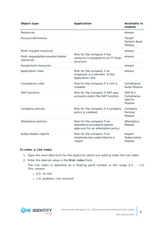| <b>Object type</b>                            | <b>Application</b>                                                                                | <b>Available in</b><br>module                         |
|-----------------------------------------------|---------------------------------------------------------------------------------------------------|-------------------------------------------------------|
| Resources                                     |                                                                                                   | always                                                |
| <b>Account definitions</b>                    |                                                                                                   | Target<br><b>System Base</b><br>Module                |
| Multi-request resources                       |                                                                                                   | always                                                |
| Multi requestable/unsubscribable<br>resources | Risk for the company if the<br>resource is assigned to an IT Shop<br>structure.                   | always                                                |
| Assignment resources                          |                                                                                                   | always                                                |
| Application roles                             | Risk for the company if an<br>employee is a member of this<br>application role.                   | always                                                |
| Compliance rules                              | Risk for the company if a rule is<br>violated.                                                    | Compliance<br><b>Rules Module</b>                     |
| <b>SAP functions</b>                          | Risk for the company if SAP user<br>accounts match the SAP function.                              | SAP <sub>R</sub> /3<br>Compliance<br>Add-on<br>Module |
| Company policies                              | Risk for the company if a company<br>policy is violated.                                          | Company<br>Policies<br>Module                         |
| <b>Attestation policies</b>                   | Risk for the company if an<br>attestation procedure denies<br>approval for an attestation policy. | Attestation<br>Module                                 |
| Subscribable reports                          | Risk for the company if an<br>employee has subscribed to a<br>report.                             | Report<br>Subscription<br>Module                      |

#### *To enter a risk index*

- 1. Open the main data form for the object for which you want to enter the risk index.
- 2. Enter the desired value in the **Risk index** field.

The risk index is specified as a floating point number in the range 0.0 ... 1.0. This means:

- $\cdot$  0.0: no risk
- 1.0: problem; risk involved

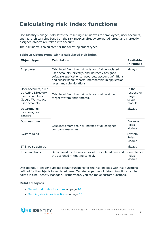# <span id="page-8-0"></span>**Calculating risk index functions**

One Identity Manager calculates the resulting risk indexes for employees, user accounts, and hierarchical roles based on the risk indexes already stored. All direct and indirectly assigned objects are taken into account.

The risk index is calculated for the following object types.

| Object type                                                                                         | <b>Calculation</b>                                                                                                                                                                                                                                     | <b>Available</b><br>in Module                      |
|-----------------------------------------------------------------------------------------------------|--------------------------------------------------------------------------------------------------------------------------------------------------------------------------------------------------------------------------------------------------------|----------------------------------------------------|
| Employees                                                                                           | Calculated from the risk indexes of all associated<br>user accounts, directly, and indirectly assigned<br>software applications, resources, account definitions,<br>and subscribable reports, membership in application<br>roles, and rule violations. | always                                             |
| User accounts, such<br>as Active Directory<br>user accounts or<br>Google Workspace<br>user accounts | Calculated from the risk indexes of all assigned<br>target system entitlements.                                                                                                                                                                        | In the<br>respective<br>target<br>system<br>module |
| Departments,<br>locations, cost<br>centers                                                          |                                                                                                                                                                                                                                                        | always                                             |
| <b>Business roles</b>                                                                               | Calculated from the risk indexes of all assigned<br>company resources.                                                                                                                                                                                 | <b>Business</b><br>Roles<br>Module                 |
| System roles                                                                                        |                                                                                                                                                                                                                                                        | System<br>Roles<br>Module                          |
| IT Shop structures                                                                                  |                                                                                                                                                                                                                                                        | always                                             |
| Rule violations                                                                                     | Determined by the risk index of the violated rule and<br>the assigned mitigating control.                                                                                                                                                              | Compliance<br><b>Rules</b><br>Module               |

|  |  |  |  |  | Table 3: Object types with a calculated risk index |  |  |
|--|--|--|--|--|----------------------------------------------------|--|--|
|--|--|--|--|--|----------------------------------------------------|--|--|

One Identity Manager supplies default functions for the risk indexes with risk functions defined for the objects types listed here. Certain properties of default functions can be edited in One Identity Manager. Furthermore, you can make custom functions.

#### **Related topics**

- Default risk index [functions](#page-9-0) on page 10
- $\bullet$  Defining risk index [functions](#page-15-0) on page 16

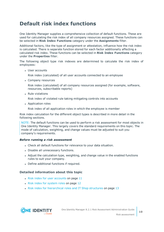## <span id="page-9-0"></span>**Default risk index functions**

One Identity Manager supplies a comprehensive collection of default functions. These are used for calculating the risk index of all company resources assigned. These functions can be selected in **Risk Index Functions** category under the **Assignments** filter.

Additional factors, like the type of assignment or attestation, influence how the risk index is calculated. There is separate function stored for each factor additionally affecting a calculated risk index. These functions can be selected in **Risk Index Functions** category under the **Properties** filter.

The following object type risk indexes are determined to calculate the risk index of employees:

• User accounts

Risk index (calculated) of all user accounts connected to an employee

• Company resources

Risk index (calculated) of all company resources assigned (for example, software, resources, subscribable reports)

<sup>l</sup> Rule violations

Risk index of violated rule taking mitigating controls into accounts

• Application roles

Risk index of all application roles in which the employee is member

Risk index calculation for the different object types is described in more detail in the following sections.

NOTE: The default functions can be used to perform a risk assessment for most objects in One Identity Manager. This largely covers the standard requirements on this topic. The mode of calculation, weighting, and change values must be adjusted to suit you company's requirements.

#### *Before running a risk assessment*

- Check all default functions for relevance to your data situation.
- Disable all unnecessary functions.
- Adjust the calculation type, weighting, and change value in the enabled functions rules to suit your company.
- Define additional functions if required.

#### **Detailed information about this topic**

- $\cdot$  Risk index for user [accounts](#page-10-0) on page 11
- Risk index for [system](#page-11-0) roles on page 12
- Risk index for [hierarchical](#page-12-0) roles and IT Shop structures on page 13

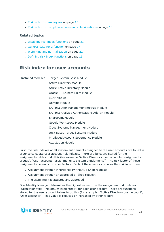- $\cdot$  Risk index for [employees](#page-14-0) on page 15
- Risk index for [compliance](#page-12-1) rules and rule violations on page 13

#### **Related topics**

- $\bullet$  [Disabling](#page-20-0) risk index functions on page 21
- General data for a [function](#page-16-0) on page 17
- Weighting and [normalization](#page-21-0) on page 22
- $\bullet$  Defining risk index [functions](#page-15-0) on page 16

### <span id="page-10-0"></span>**Risk index for user accounts**

Installed modules: Target System Base Module Active Directory Module Azure Active Directory Module Oracle E-Business Suite Module LDAP Module Domino Module SAP R/3 User Management module Module SAP R/3 Analysis Authorizations Add-on Module SharePoint Module Google Workspace Module Cloud Systems Management Module Unix Based Target Systems Module Privileged Account Governance Module Attestation Module

First, the risk indexes of all system entitlements assigned to the user accounts are found in order to calculate user account risk indexes. There are functions stored for the assignments tables to do this (for example "Active Directory user accounts: assignments to groups", "User accounts: assignments to system entitlements"). The risk factor of these assignments depends on other factors. Each of these factors reduces the risk index found.

- Assignment through inheritance (without IT Shop requests)
- Assignment through an approved IT Shop request
- The assignment is attested and approved

One Identity Manager determines the highest value from the assignment risk indexes (calculation type: "Maximum (weighted)") for each user account. There are functions stored for the user account tables to do this (for example: "Active Directory user account", "User accounts"). This value is reduced or increased by other factors.

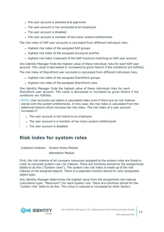- The user account is attested and approved
- The user account is not connected to an employee
- The user account is disabled
- The user account is member of too many system entitlements

The risk index of SAP user accounts is calculated from different individual risks.

- Highest risk index of the assigned SAP groups
- Highest risk index of the assigned structural profiles
- Highest risk index (reduced) of the SAP functions matching an SAP user account

One Identity Manager finds the highest value of these individual risks for each SAP user account. This value is decreased or increased by given factors if the conditions are fulfilled.

The risk index of SharePoint user accounts is calculated from different individual risks.

- Highest risk index of the assigned SharePoint groups
- Highest risk index of the assigned SharePoint roles

One Identity Manager finds the highest value of these individual risks for each SharePoint user account. This value is decreased or increased by given factors if the conditions are fulfilled.

NOTE: User accounts can obtain a calculated index even if there are no risk indexes stored with the system entitlements. In this case, the risk index is calculated from the additional factors which increase the risk index. The risk index of a user account increases if:

- The user account is not linked to an employee
- The user account is a member of too many system entitlements
- The user account is disabled

### <span id="page-11-0"></span>**Risk index for system roles**

Installed modules: System Roles Module

Attestation Module

First, the risk indexes of all company resources assigned to the system roles are found in order to calculate system role risk indexes. There are functions stored for the assignments tables to do this ("System roles"). The system role risk index is made up of the risk indexes of the assigned objects. There is a separate function stored for each assignable object type.

One Identity Manager determines the highest value from the assignment risk indexes (calculation type: "Maximum") for each system role. There are functions stored for the "system role" table to do this. This value is reduced or increased by other factors.

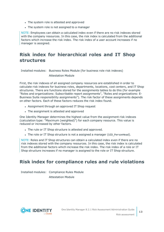- The system role is attested and approved
- The system role is not assigned to a manager

NOTE: Employees can obtain a calculated index even if there are no risk indexes stored with the company resources. In this case, the risk index is calculated from the additional factors which increase the risk index. The risk index of a user account increases if no manager is assigned.

## <span id="page-12-0"></span>**Risk index for hierarchical roles and IT Shop structures**

Installed modules: Business Roles Module (for business role risk indexes)

Attestation Module

First, the risk indexes of all assigned company resources are established in order to calculate risk indexes for business roles, departments, locations, cost centers, and IT Shop structures. There are functions stored for the assignments tables to do this (for example "Roles and organizations: Subscribable report assignments", "Roles and organizations: E-Business Suite responsibility assignments"). The risk factor of these assignments depends on other factors. Each of these factors reduces the risk index found.

- Assignment through an approved IT Shop request
- The assignment is attested and approved

One Identity Manager determines the highest value from the assignment risk indexes (calculation type: "Maximum (weighted)") for each company resource. This value is reduced or increased by other factors.

- The rule or IT Shop structure is attested and approved.
- The role or IT Shop structure is not a assigned a manager (UID PersonHead).

NOTE: Roles and IT Shop structures can obtain a calculated index even if there are no risk indexes stored with the company resources. In this case, the risk index is calculated from the additional factors which increase the risk index. The risk index of a role or IT Shop structure increases if no manager is assigned to the role or IT Shop structure.

## <span id="page-12-1"></span>**Risk index for compliance rules and rule violations**

Installed modules: Compliance Rules Module Attestation Module

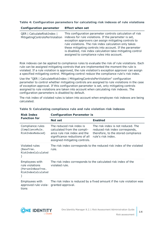#### **Table 4: Configuration parameters for calculating risk indexes of rule violations**

| <b>Configuration parameter</b>                               | <b>Effect when set</b>                                                                                                                                                                                                                                                                                                                                                                                         |
|--------------------------------------------------------------|----------------------------------------------------------------------------------------------------------------------------------------------------------------------------------------------------------------------------------------------------------------------------------------------------------------------------------------------------------------------------------------------------------------|
| QER   CalculateRiskIndex  <br>MitigatingControlsPerViolation | This configuration parameter controls calculation of risk<br>indexes for rule violations. If the parameter is set,<br>exception approvers can assign mitigating controls to<br>rule violations. The risk index calculation only takes<br>these mitigating controls into account. If the parameter<br>is disabled, risk index calculation take mitigating control<br>assigned to compliance rules into account. |

Risk indexes can be applied to compliance rules to evaluate the risk of rule violations. Each rule can be assigned mitigating controls that are implemented the moment the rule is violated. If a rule violation is approved, the rule violation's exception approver can assign a specified mitigating control. Mitigating control reduce the compliance rule's risk index.

Use the "QER | CalculateRiskIndex | MitigatingControlsPerViolation" configuration parameter to control whether mitigating controls are assigned to rule violations in the case of exception approval. If this configuration parameter is set, only mitigating controls assigned to rule violations are taken into account when calculating risk indexes. The configuration parameters is disabled by default.

The risk index of violated rules is taken into account when employee risk indexes are being calculated.

| <b>Risk Index</b>                                                              | <b>Configuration Parameter is</b>                                                                                                                           |                                                                                                                                    |  |  |  |  |
|--------------------------------------------------------------------------------|-------------------------------------------------------------------------------------------------------------------------------------------------------------|------------------------------------------------------------------------------------------------------------------------------------|--|--|--|--|
| <b>Function for</b>                                                            | <b>Not set</b>                                                                                                                                              | <b>Enabled</b>                                                                                                                     |  |  |  |  |
| Compliance rules<br>(ComplianceRule.<br>RiskIndexReduced)                      | The reduced risk index is<br>calculated from the compli-<br>ance rule risk index and the<br>significance reductions of all<br>assigned mitigating controls. | The risk index is not reduced. The<br>reduced risk index corresponds,<br>therefore, to the stored compliance<br>rule's risk index. |  |  |  |  |
| Violated rules<br>(BaseTree.<br>RiskIndexCalculated                            | rule.                                                                                                                                                       | The risk index corresponds to the reduced risk index of the violated                                                               |  |  |  |  |
| Employees with<br>rule violations<br>(PersonInBaseTree.<br>RiskIndexCalculated | violated rule.                                                                                                                                              | The risk index corresponds to the calculated risk index of the                                                                     |  |  |  |  |
| Employees with<br>approved rule viola-<br>tions                                | granted approval.                                                                                                                                           | The risk index is reduced by a fixed amount if the rule violation was                                                              |  |  |  |  |

#### **Table 5: Calculating compliance rule and rule violation risk indexes**

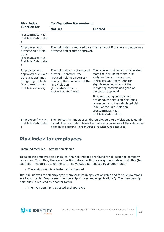| <b>Risk Index</b>                                                                                                                     | <b>Configuration Parameter is</b>                                                                                                                                                         |                                                                                                                                                                                                                                    |  |  |  |
|---------------------------------------------------------------------------------------------------------------------------------------|-------------------------------------------------------------------------------------------------------------------------------------------------------------------------------------------|------------------------------------------------------------------------------------------------------------------------------------------------------------------------------------------------------------------------------------|--|--|--|
| <b>Function for</b>                                                                                                                   | <b>Not set</b>                                                                                                                                                                            | <b>Enabled</b>                                                                                                                                                                                                                     |  |  |  |
| (PersonInBaseTree.<br>RiskIndexCalculated                                                                                             |                                                                                                                                                                                           |                                                                                                                                                                                                                                    |  |  |  |
| Employees with<br>attested rule viola-<br>tions<br>(PersonInBaseTree.<br>RiskIndexCalculated                                          | attested and granted approval.                                                                                                                                                            | The risk index is reduced by a fixed amount if the rule violation was                                                                                                                                                              |  |  |  |
| <b>Employees with</b><br>approved rule viola-<br>tions and assigned<br>mitigating controls<br>(PersonInBaseTree.<br>RiskIndexReduced) | The risk index is not reduced<br>further. Therefore, the<br>reduced risk index corres-<br>ponds to the risk index of the<br>rule violation<br>(PersonInBaseTree.<br>RiskIndexCalculated). | The reduced risk index is calculated<br>from the risk index of the rule<br>violation (PersonInBaseTree.<br>RiskIndexCalculated) and the<br>significance reduction of the<br>mitigating controls assigned on<br>exception approval. |  |  |  |
|                                                                                                                                       |                                                                                                                                                                                           | If no mitigating controls are<br>assigned, the reduced risk index<br>corresponds to the calculated risk<br>index of the rule violation<br>(PersonInBaseTree.<br>RiskIndexCalculated).                                              |  |  |  |
| Employees (Person.                                                                                                                    |                                                                                                                                                                                           | The highest risk index of all the employee's rule violations is estab-                                                                                                                                                             |  |  |  |

RiskIndexCalculated lished. The calculation takes the reduced risk index of the rule viola-) tions in to account (PersonInBaseTree.RiskIndexReduced).

### <span id="page-14-0"></span>**Risk index for employees**

Installed modules: Attestation Module

To calculate employee risk indexes, the risk indexes are found for all assigned company resources. To do this, there are functions stored with the assignment tables to do this (for example, "Resource assignments"). The values also reduced by another factor.

• The assignment is attested and approved

The risk indexes for all employee memberships in application roles and for rule violations are found (table "Employees: membership in roles and organizations"). The membership risk index is reduced by another factor.

• The membership is attested and approved

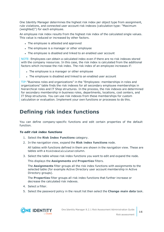One Identity Manager determines the highest risk index per object type from assignment, rule violations, and connected user account risk indexes (calculation type: "Maximum (weighted)") for each employee.

An employee risk index results from the highest risk index of the calculated single values. This value is reduced or increased by other factors.

- The employee is attested and approved
- The employee is a manager or other employee
- The employee is disabled and linked to an enabled user account

NOTE: Employees can obtain a calculated index even if there are no risk indexes stored with the company resources. In this case, the risk index is calculated from the additional factors which increase the risk index. The risk index of an employee increases if:

- The employee is a manager or other employee
- The employee is disabled and linked to an enabled user account

TIP:"Business roles and organizations" in the "Employees: memberships in roles and organizations" table finds the risk indexes for all secondary employee memberships in hierarchical roles and IT Shop structures. In the process, the risk indexes are determined for secondary membership in business roles, departments, locations, cost centers, and IT Shop structures. You can use risk indexes from these memberships for custom calculation or evaluation. Implement your own functions or processes to do this.

## <span id="page-15-0"></span>**Defining risk index functions**

You can define company-specific functions and edit certain properties of the default function.

#### *To edit risk index functions*

- 1. Select the **Risk Index Functions** category.
- 2. In the navigation view, expand the **Risk index functions** node.

All tables with functions defined in them are shown in the navigation view. These are tables with a RiskIndexCalculated column.

3. Select the table whose risk index functions you want to edit and expand the node.

This displays the **Assignments** and **Properties** filters.

The **Assignments** filter groups all the risk index functions with assignments to the selected table (for example Active Directory user account membership in Active Directory groups).

The **Properties** filter groups all risk index functions that further increase or decrease the calculated risk indexes.

- 4. Select a filter.
- 5. Select the password policy in the result list then select the **Change main data** task.

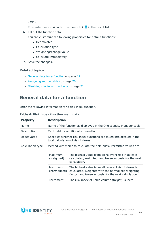- OR -

- To create a new risk index function, click  $\mathbf{t}$  in the result list.
- 6. Fill out the function data.
	- You can customize the following properties for default functions:
		- Deactivated
		- Calculation type
		- Weighting/change value
		- Calculate immediately
- 7. Save the changes.

#### **Related topics**

- General data for a [function](#page-16-0) on page 17
- [Assigning](#page-19-1) source tables on page 20
- [Disabling](#page-20-0) risk index functions on page 21

## <span id="page-16-0"></span>**General data for a function**

Enter the following information for a risk index function.

| <b>Property</b>  | <b>Description</b>      |                                                                                                                                                                                                      |  |  |
|------------------|-------------------------|------------------------------------------------------------------------------------------------------------------------------------------------------------------------------------------------------|--|--|
| Name             |                         | Name of the function as displayed in the One Identity Manager tools.                                                                                                                                 |  |  |
| Description      |                         | Text field for additional explanation.                                                                                                                                                               |  |  |
| Deactivated      |                         | Specifies whether risk index functions are taken into account in the<br>total calculation of risk indexes.                                                                                           |  |  |
| Calculation type | Maximum<br>(weighted)   | Method with which to calculate the risk index. Permitted values are:<br>The highest value from all relevant risk indexes is<br>calculated, weighted, and taken as basis for the next<br>calculation. |  |  |
|                  | Maximum<br>(normalized) | The highest value from all relevant risk indexes is<br>calculated, weighted with the normalized weighting<br>factor, and taken as basis for the next calculation.                                    |  |  |
|                  | Increment               | The risk index of Table column (target) is incre-                                                                                                                                                    |  |  |

#### **Table 6: Risk index function main data**

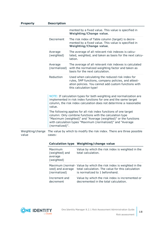| <b>Property</b>           | <b>Description</b>                                 |                                                                                                                                                                                                                                                              |
|---------------------------|----------------------------------------------------|--------------------------------------------------------------------------------------------------------------------------------------------------------------------------------------------------------------------------------------------------------------|
|                           |                                                    | mented by a fixed value. This value is specified in<br><b>Weighting/Change value.</b>                                                                                                                                                                        |
|                           | Decrement                                          | The risk index of Table column (target) is decre-<br>mented by a fixed value. This value is specified in<br><b>Weighting/Change value.</b>                                                                                                                   |
|                           | Average<br>(weighted)                              | The average of all relevant risk indexes is calcu-<br>lated, weighted, and taken as basis for the next calcu-<br>lation.                                                                                                                                     |
|                           | Average<br>(normalized)                            | The average of all relevant risk indexes is calculated<br>with the normalized weighting factor and taken as<br>basis for the next calculation.                                                                                                               |
|                           | Reduction                                          | Used when calculating the reduced risk index for<br>rules, SAP functions, company policies, and attest-<br>ation policies. You cannot add custom functions with<br>this calculation type!                                                                    |
|                           | value.                                             | NOTE: If calculation types for both weighting and normalization are<br>implemented in risk index functions for one and the same target<br>column, the risk index calculation does not determine a reasonable                                                 |
|                           | (normalized)".                                     | The following applies for all risk index functions of one target<br>column: Only combine functions with the calculation type<br>"Maximum (weighted)" and "Average (weighted)" or the functions<br>with calculation types "Maximum (normalized)" and "Average |
| Weighting/change<br>value | cases:                                             | The value by which to modify the risk index. There are three possible                                                                                                                                                                                        |
|                           |                                                    | Calculation type Weighting/change value                                                                                                                                                                                                                      |
|                           | Maximum<br>(weighted) and<br>average<br>(weighted) | Value by which the risk index is weighted in the<br>total calculation.                                                                                                                                                                                       |

| (normalized)  | Maximum (normal- Value by which the risk index is weighted in the<br>ized) and average total calculation. The value for this calculation<br>is normalized to 1 beforehand. |
|---------------|----------------------------------------------------------------------------------------------------------------------------------------------------------------------------|
| Increment and | Value by which the risk index is incremented or                                                                                                                            |

decremented in the total calculation.



decrement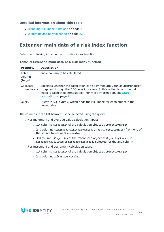#### **Detailed information about this topic**

- [Disabling](#page-20-0) risk index functions on page 21
- Weighting and [normalization](#page-21-0) on page 22

### <span id="page-18-0"></span>**Extended main data of a risk index function**

Enter the following information for a risk index function.

|  | Table 7: Extended main data of a risk index function |  |  |  |  |
|--|------------------------------------------------------|--|--|--|--|
|  |                                                      |  |  |  |  |

| <b>Property</b>             | <b>Description</b>                                                                                                                                                                                                                                 |
|-----------------------------|----------------------------------------------------------------------------------------------------------------------------------------------------------------------------------------------------------------------------------------------------|
| Table<br>column<br>(target) | Table column to be calculated.                                                                                                                                                                                                                     |
| Calculate<br>immediately    | Specifies whether the calculation can be immediately run asynchronously<br>triggered through the DBQueue Processor. If this option is set, the risk<br>index is calculated immediately. For more information, see Start<br>calculation on page 21. |
| <b>Ouery</b>                | Query in SQL syntax, which finds the risk index for each object in the<br>target table.                                                                                                                                                            |

The columns in the list below must be selected using the query.

- For maximum and average value calculation types:
	- 1st column: XObjectKey of the calculation object as ObjectKeyTarget
	- 2nd column: RiskIndex, RiskIndexReduced, or RiskIndexCalculated from one of the source tables as SourceValue
	- 3rd column: XObjectKey of the referenced object as ObjectKeySource, if RiskIndexCalculated or RiskIndexReduced is selected for the 2nd column
- For increment and decrement calculation types:
	- 1st column: XObjectKey of the calculation object as ObjectKeyTarget
	- <sup>l</sup> 2nd column: **1.0** as SourceValue

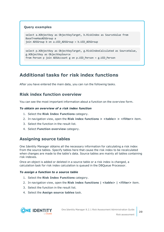#### **Query examples**

```
select a.XObjectkey as ObjectKeyTarget, b.RiskIndex as SourceValue from
BaseTreeHasADSGroup a
join ADSGroup b on a.UID ADSGroup = b.UID ADSGroup
```

```
select p.XObjectKey as ObjectKeyTarget, g.RiskIndexCalculated as SourceValue,
g.XObjectKey as ObjectKeySource
from Person p join ADSAccount g on p.UID Person = g.UID Person
```
### <span id="page-19-0"></span>**Additional tasks for risk index functions**

<span id="page-19-2"></span>After you have entered the main data, you can run the following tasks.

### **Risk index function overview**

You can see the most important information about a function on the overview form.

#### *To obtain an overview of a risk index function*

- 1. Select the **Risk Index Functions** category.
- 2. In navigation view, open the **Risk index functions > <table> > <filter>** item.
- 3. Select the function in the result list.
- <span id="page-19-1"></span>4. Select **Function overview** category.

### **Assigning source tables**

One Identity Manager obtains all the necessary information for calculating a risk index from the source tables. Specify tables here that cause the risk index to be recalculated when changes are made to the table's data. Source tables are mainly all tables containing risk indexes.

Once an object is added or deleted in a source table or a risk index is changed, a calculation task for risk index calculation is queued in the DBQueue Processor.

#### *To assign a function to a source table*

- 1. Select the **Risk Index Functions** category.
- 2. In navigation view, open the **Risk index functions | <table> | <filter>** item.
- 3. Select the function in the result list.
- 4. Select the **Assign source tables** task.

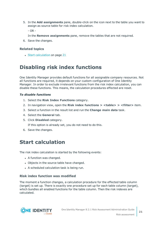5. In the **Add assignments** pane, double-click on the icon next to the table you want to assign as source table for risk index calculation.

- OR -

In the **Remove assignments** pane, remove the tables that are not required.

6. Save the changes.

#### **Related topics**

• Start [calculation](#page-20-1) on page 21

## <span id="page-20-0"></span>**Disabling risk index functions**

One Identity Manager provides default functions for all assignable company resources. Not all functions are required, it depends on your custom configuration of One Identity Manager. In order to exclude irrelevant functions from the risk index calculation, you can disable these functions. This means, the calculation procedures effected are reset.

#### *To disable functions*

- 1. Select the **Risk Index Functions** category.
- 2. In navigation view, open the **Risk index functions > <table> > <filter>** item.
- 3. Select a function in the result list and run the **Change main data** task.
- 4. Select the **General** tab.
- 5. Click **Disabled** category.

If this option is already set, you do not need to do this.

<span id="page-20-1"></span>6. Save the changes.

## **Start calculation**

The risk index calculation is started by the following events:

- A function was changed.
- Objects in the source table have changed.
- A scheduled calculation task is being run.

#### <span id="page-20-2"></span>**Risk index function was modified**

The moment a function changes, a calculation procedure for the effected table column (target) is set up. There is exactly one procedure set up for each table column (target), which bundles all enabled functions for the table column. Then the risk indexes are calculated.

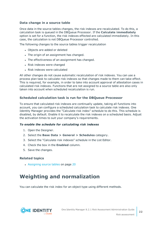#### <span id="page-21-1"></span>**Data change in a source table**

Once data in the source tables changes, the risk indexes are recalculated. To do this, a calculation task is queued in the DBQueue Processor. If the **Calculate immediately** option is set for a function, the risk indexes effected are calculated immediately. In this case, the calculation is not DBQueue Processor controlled.

The following changes to the source tables trigger recalculation

- Objects are added or deleted
- The origin of an assignment has changed.
- The effectiveness of an assignment has changed.
- Risk indexes were changed
- $\bullet$  Risk indexes were calculated

All other changes do not cause automatic recalculation of risk indexes. You can use a process plan task to calculate risk indexes so that changes made to them can take effect. This is required, for example, in order to take into account approval of attestation cases in calculated risk indexes. Functions that are not assigned to a source table are also only taken into account when scheduled recalculation is run.

#### <span id="page-21-2"></span>**Scheduled calculation task is run for the DBQueue Processor**

To ensure that calculated risk indexes are continually update, taking all functions into account, you can configure a scheduled calculation task to calculate risk indexes. One Identity Manager provides the "Calculate risk index" schedule to do this. This schedule is disabled, by default. Enable it to recalculate the risk indexes on a scheduled basis. Adjust the activation times to suit your company's requirements.

#### *To enable the schedule for calculating risk indexes*

- 1. Open the Designer.
- 2. Select the **Base Data > General > Schedules** category.
- 3. Select the "Calculate risk indexes" schedule in the List Editor.
- 4. Check the box in the **Enabled** column.
- 5. Save the changes.

#### **Related topics**

• [Assigning](#page-19-1) source tables on page 20

## <span id="page-21-0"></span>**Weighting and normalization**

You can calculate the risk index for an object type using different methods.

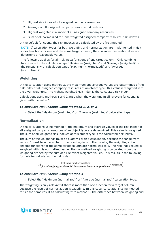- 1. Highest risk index of all assigned company resources
- 2. Average of all assigned company resource risk indexes
- 3. Highest weighted risk index of all assigned company resources
- 4. Sum of all normalized to 1 and weighted assigned company resource risk indexes

In the default functions, the risk indexes are calculated by the first method.

NOTE: If calculation types for both weighting and normalization are implemented in risk index functions for one and the same target column, the risk index calculation does not determine a reasonable value.

The following applies for all risk index functions of one target column: Only combine functions with the calculation type "Maximum (weighted)" and "Average (weighted)" or the functions with calculation types "Maximum (normalized)" and "Average (normalized)".

#### **Weighting**

In the calculation using method 3, the maximum and average values are determined of the risk index of all assigned company resources of an object type. This value is weighted with the given weighting. The highest weighted risk index is the calculated risk index.

Calculations using methods 1 and 2 arise when the weighting in all relevant functions, is given with the value 1.

#### *To calculate risk indexes using methods 1, 2, or 3*

• Select the "Maximum (weighted)" or "Average (weighted)" calculation type.

#### **Normalization**

In the calculations using method 4, the maximum and average values of the risk index for all assigned company resources of an object type are determined. This value is weighted. The sum of all weighted risk indexes of this object type is the calculated risk index.

The sum of the weightings must be exactly 1 with a calculation, because the range from zero to 1 must be adhered to for the resulting index. That is why, the weightings of all enabled functions for the same target column are normalized to 1. The risk index found is weighted with this normalized value. The normalized weighting is calculated from the weighting divided by the sum of all relevant weighted values. This results in the following formula for calculating the risk index:



#### *To calculate risk indexes using method 4*

<sup>l</sup> Select the "Maximum (normalized)" or "Average (normalized)" calculation type.

The weighting is only relevant if there is more than one function for a target column because the result of normalization is exactly 1. In this case, calculations using method 4 return the same result as calculating with method 1. The difference between weighting and

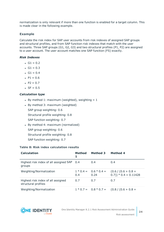normalization is only relevant if more than one function is enabled for a target column. This is made clear in the following example.

#### **Example**

Calculate the risk index for SAP user accounts from risk indexes of assigned SAP groups and structural profiles, and from SAP function risk indexes that match with the user accounts. Three SAP groups (G1, G2, G3) and two structural profiles (P1, P2) are assigned to a user account. The user account matches one SAP function (FS) exactly.

#### *Risk Indexes*

- $\cdot$  G1 = 0.2
- $\cdot$  G1 = 0.3
- $\cdot$  G1 = 0.4
- $P1 = 0.6$
- $P2 = 0.7$
- $\cdot$  SF = 0.5

#### *Calculation type*

- By method 1: maximum (weighted), weighting  $= 1$
- $\bullet$  By method 3: maximum (weighted)
	- SAP group weighting: 0.6

Structural profile weighting: 0.8

- SAP function weighting: 0.7
- By method 4: maximum (normalized)

SAP group weighting: 0.6

- Structural profile weighting: 0.8
- SAP function weighting: 0.7

#### **Table 8: Risk index calculation results**

| <b>Calculation</b>                                        | <b>Method</b><br>1 | <b>Method 3</b>                 | <b>Method 4</b>                                  |
|-----------------------------------------------------------|--------------------|---------------------------------|--------------------------------------------------|
| Highest risk index of all assigned SAP 0.4<br>groups      |                    | 0.4                             | 0.4                                              |
| Weighting/Normalization                                   | 0.4                | $1 * 0.4 = 0.6 * 0.4 =$<br>0.24 | $(0.6 / (0.6 + 0.8 +$<br>$(0.7)$ * 0.4 = 0.11428 |
| Highest risk index of all assigned<br>structural profiles | 0.7                | 0.7                             | 0.7                                              |
| Weighting/Normalization                                   |                    |                                 | $1 * 0.7 = 0.8 * 0.7 = (0.8 / (0.6 + 0.8 +$      |

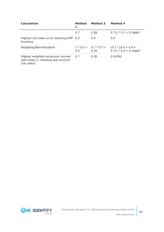| <b>Calculation</b>                                                                           | <b>Method</b><br>1 | <b>Method 3</b>                 | <b>Method 4</b>                                    |
|----------------------------------------------------------------------------------------------|--------------------|---------------------------------|----------------------------------------------------|
|                                                                                              | 0.7                | 0.56                            | $(0.7)$ * 0.7 = 0.26667                            |
| Highest risk index of all matching SAP 0.5<br>functions                                      |                    | 0.5                             | 0.5                                                |
| Weighting/Normalization                                                                      | 0.5                | $1 * 0.5 = 0.7 * 0.5 =$<br>0.35 | $(0.7 / (0.6 + 0.8 +$<br>$(0.7)$ * $0.5 = 0.16667$ |
| Highest weighted value/sum normal-<br>ized value $($ = resulting user account<br>risk index) | 0.7                | 0.56                            | 0.54762                                            |

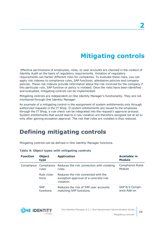**26**

# **Mitigating controls**

<span id="page-25-0"></span>Effective permissions of employees, roles, or user accounts are checked in the context of Identity Audit on the basis of regulatory requirements. Violation of regulatory requirements can harbor different risks for companies. To evaluate these risks, you can apply risk indexes to compliance rules, SAP functions, attestation policies and company policies. These risk indexes provide information about the risk involved for the company if this particular rule, SAP function or policy is violated. Once the risks have been identified and evaluated, mitigating controls can be implemented.

Mitigating controls are independent on One Identity Manager's functionality. They are not monitored through One Identity Manager.

An example of a mitigating control is the assignment of system entitlements only through authorized requests in the IT Shop. If system entitlements are issued to the employee through the IT Shop, a rule check can be integrated into the request's approval process. System entitlements that would lead to a rule violation are therefore assigned not at all or only after gaining exception approval. The risk that rules are violated is thus reduced.

## <span id="page-25-1"></span>**Defining mitigating controls**

Mitigating controls can be defined in One Identity Manager functions.

| <b>Function</b> | <b>Object</b><br>type   | <b>Application</b>                                                                         | <b>Available in</b><br><b>Module</b> |
|-----------------|-------------------------|--------------------------------------------------------------------------------------------|--------------------------------------|
|                 | rules                   | Compliance Compliance Reduces the risk connection with violating<br>rules.                 | <b>Compliance Rules</b><br>Module    |
|                 | Rule viola-<br>tions    | Reduces the risk connected with the<br>exception approval of a concrete rule<br>violation. |                                      |
|                 | <b>SAP</b><br>functions | Reduces the risk of SAP user accounts<br>matching SAP functions.                           | SAP R/3 Compli-<br>ance Add-on       |

#### **Table 9: Object types with mitigating controls**

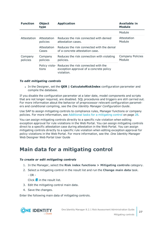| <b>Function</b>     | <b>Object</b><br>type   | <b>Application</b>                                                                                        | <b>Available in</b><br><b>Module</b> |
|---------------------|-------------------------|-----------------------------------------------------------------------------------------------------------|--------------------------------------|
|                     |                         |                                                                                                           | Module                               |
| Attestation         | Attestation<br>policies | Reduces the risk connected with denied<br>attestation cases.                                              | Attestation<br>Module                |
|                     | Attestation<br>Cases    | Reduces the risk connected with the denial<br>of a concrete attestation case.                             |                                      |
| Company<br>policies | Company<br>policies     | Reduces the risk connection with violating<br>policies.                                                   | <b>Company Policies</b><br>Module    |
|                     | tions                   | Policy viola-Reduces the risk connected with the<br>exception approval of a concrete policy<br>violation. |                                      |

#### *To edit mitigating controls*

<sup>l</sup> In the Designer, set the **QER | CalculateRiskIndex** configuration parameter and compile the database.

If you disable the configuration parameter at a later date, model components and scripts that are not longer required, are disabled. SQL procedures and triggers are still carried out. For more information about the behavior of preprocessor relevant configuration parameters and conditional compiling, see the *One Identity Manager Configuration Guide*.

Use SAP to assign mitigating controls to compliance rules, Manager functions or company policies. For more [information,](#page-27-0) see Additional tasks for a mitigating control on page 28.

You can assign mitigating controls directly to a specific rule violation when editing exception approval for rule violations in the Web Portal. You can assign mitigating controls direct to a specific attestation case during attestation in the Web Portal. You can assign mitigating controls directly to a specific rule violation when editing exception approval for policy violations in the Web Portal. For more information, see the .One Identity Manager Web Designer Web Portal User Guide

## <span id="page-26-0"></span>**Main data for a mitigating control**

#### *To create or edit mitigating controls*

- 1. In the Manager, select the **Risk index functions > Mitigating controls** category.
- 2. Select a mitigating control in the result list and run the **Change main data** task.
	- $OR -$

 $Click$   $\frac{1}{4}$  in the result list.

- 3. Edit the mitigating control main data.
- 4. Save the changes.

Enter the following main data of mitigating controls.

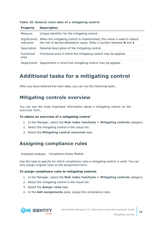| <b>Property</b>           | <b>Description</b>                                                                                                                                               |
|---------------------------|------------------------------------------------------------------------------------------------------------------------------------------------------------------|
| Measure                   | Unique identifier for the mitigating control.                                                                                                                    |
| Significance<br>reduction | When the mitigating control is implemented, this value is used to reduce<br>the risk of denied attestation cases. Enter a number between <b>0</b> and <b>1</b> . |
| Description               | Detailed description of the mitigating control.                                                                                                                  |
| Functional<br>area        | Functional area in which the mitigating control may be applied.                                                                                                  |
|                           | Department Department in which the mitigating control may be applied.                                                                                            |

#### **Table 10: General main data of a mitigating control**

## <span id="page-27-0"></span>**Additional tasks for a mitigating control**

<span id="page-27-1"></span>After you have entered the main data, you can run the following tasks.

### **Mitigating controls overview**

You can see the most important information about a mitigating control on the overview form.

#### *To obtain an overview of a mitigating control*

- 1. In the Manager, select the **Risk index functions > Mitigating controls** category.
- 2. Select the mitigating control in the result list.
- <span id="page-27-2"></span>3. Select the **Mitigating control overview** task.

## **Assigning compliance rules**

Installed modules: Compliance Rules Module

Use this task to specify for which compliance rules a mitigating control is valid. You can only assign original rules on the assignment form.

#### *To assign compliance rules to mitigating controls*

- 1. In the Manager, select the **Risk index functions > Mitigating controls** category.
- 2. Select the mitigating control in the result list.
- 3. Select the **Assign rules** task.
- 4. In the **Add assignments** pane, assign the compliance rules.

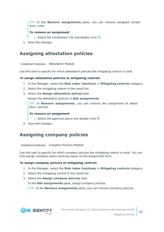TIP: In the **Remove assignments** pane, you can remove assigned compliance rules.

#### *To remove an assignment*

- Select the compliance rule and double-click  $\bigcirc$ .
- <span id="page-28-0"></span>5. Save the changes.

### **Assigning attestation policies**

Installed modules: Attestation Module

Use this task to specify for which attestation policies the mitigating control is valid.

#### *To assign attestation policies to mitigating controls*

- 1. In the Manager, select the **Risk index functions > Mitigating controls** category.
- 2. Select the mitigating control in the result list.
- 3. Select the **Assign attestation polices** task.

Assign the attestation policies in **Add assignments**.

TIP: In **Remove assignments**, you can remove the assignment of attestation policies.

#### *To remove an assignment*

- **Select the approval policy and double-click**  $\mathcal{O}$ **.**
- <span id="page-28-1"></span>4. Save the changes.

### **Assigning company policies**

Installed modules: Company Policies Module

Use this task to specify for which company policies the mitigating control is valid. You can only assign company policy working copies on the assignment form.

#### *To assign company policies to mitigating controls*

- 1. In the Manager, select the **Risk index functions > Mitigating controls** category.
- 2. Select the mitigating control in the result list.
- 3. Select the **Assign company policies** task.

In the **Add assignments** pane, assign company policies.

TIP: In the **Remove assignments** pane, you can remove company policies.

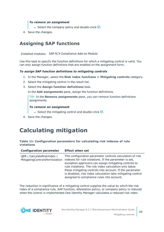#### *To remove an assignment*

- **Select the company policy and double-click**  $\bigcirc$ **.**
- <span id="page-29-0"></span>4. Save the changes.

### **Assigning SAP functions**

Installed modules: SAP R/3 Compliance Add-on Module

Use this task to specify the function definitions for which a mitigating control is valid. You can only assign function definitions that are enabled on the assignment form.

#### *To assign SAP function definitions to mitigating controls*

- 1. In the Manager, select the **Risk index functions > Mitigating controls** category.
- 2. Select the mitigating control in the result list.
- 3. Select the **Assign function definitions** task.

In the **Add assignments** pane, assign the function definitions.

TIP: In the **Remove assignments** pane, you can remove function definitions assignments.

#### *To remove an assignment*

- **Select the mitigating control and double-click**  $\bigcirc$ **.**
- <span id="page-29-1"></span>4. Save the changes.

## **Calculating mitigation**

#### **Table 11: Configuration parameters for calculating risk indexes of rule violations**

| <b>Configuration parameter</b>                               | <b>Effect when set</b>                                                                                                                                                                                                                                                                                                                                                                                         |
|--------------------------------------------------------------|----------------------------------------------------------------------------------------------------------------------------------------------------------------------------------------------------------------------------------------------------------------------------------------------------------------------------------------------------------------------------------------------------------------|
| QER   CalculateRiskIndex  <br>MitigatingControlsPerViolation | This configuration parameter controls calculation of risk<br>indexes for rule violations. If the parameter is set,<br>exception approvers can assign mitigating controls to<br>rule violations. The risk index calculation only takes<br>these mitigating controls into account. If the parameter<br>is disabled, risk index calculation take mitigating control<br>assigned to compliance rules into account. |

The reduction in significance of a mitigating control supplies the value by which the risk index of a compliance rule, SAP function, attestation policy, or company policy is reduced when the control is implemented.One Identity Manager calculates a reduced risk index



**30**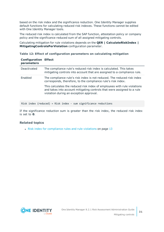based on the risk index and the significance reduction. One Identity Manager supplies default functions for calculating reduced risk indexes. These functions cannot be edited with One Identity Manager tools.

The reduced risk index is calculated from the SAP function, attestation policy or company policy and the significance reduced sum of all assigned mitigating controls.

Calculating mitigation for rule violations depends on the **QER | CalculateRiskIndex | MitigatingControlsPerViolation** configuration parameter.

**Table 12: Effect of configuration parameters on calculating mitigation**

| <b>Configuration Effect</b><br>parameters |                                                                                                                                                                                                |
|-------------------------------------------|------------------------------------------------------------------------------------------------------------------------------------------------------------------------------------------------|
| Deactivated                               | The compliance rule's reduced risk index is calculated. This takes<br>mitigating controls into account that are assigned to a compliance rule.                                                 |
| Enabled                                   | The compliance rule's risk index is not reduced. The reduced risk index<br>corresponds, therefore, to the compliance rule's risk index.                                                        |
|                                           | This calculates the reduced risk index of employees with rule violations<br>and takes into account mitigating controls that were assigned to a rule<br>violation during an exception approval. |

Risk index (reduced) = Risk index - sum significance reductions

If the significance reduction sum is greater than the risk index, the reduced risk index is set to **0**.

#### **Related topics**

• Risk index for [compliance](#page-12-1) rules and rule violations on page 13

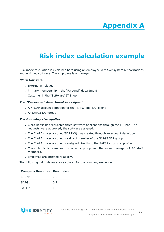# **Appendix A**

# <span id="page-31-0"></span>**Appendix:Risk index calculation example**

Risk index calculation is explained here using an employee with SAP system authorizations and assigned software. The employee is a manager.

#### *Clara Harris is:*

- External employee
- Primary membership in the "Personal" department
- Customer in the "Software" IT Shop

#### *The "Personnel" department is assigned*

- A KRSAP account definition for the "SAPClient" SAP client
- An SAPG1 SAP group

#### *The following also applies*

- Clara Harris has requested three software applications through the IT Shop. The requests were approved; the software assigned.
- The CLARAH user account (SAP R/3) was created through an account definition.
- . The CLARAH user account is a direct member of the SAPG2 SAP group.
- The CLARAH user account is assigned directly to the SAPSP structural profile.
- Clara Harris is team lead of a work group and therefore manager of 10 staff members.
- Employee are attested regularly.

The following risk indexes are calculated for the company resources:

| Company Resource Risk mack |     |
|----------------------------|-----|
| <b>KRSAP</b>               | 0.0 |
| SAPG1                      | 0.7 |
| SAPG <sub>2</sub>          | 0.2 |



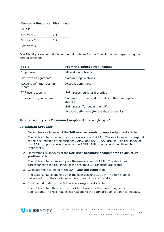| <b>Company Resource Risk index</b> |     |
|------------------------------------|-----|
| <b>SAPSP</b>                       | 0.5 |
| Software 1                         | 0.1 |
| Software 2                         | 0.2 |
| Software 3                         | 0.3 |

One Identity Manager calculates the risk indexes for the following object types using the default functions:

| <b>Table</b>                        | From the object's risk indexes                                  |  |  |  |
|-------------------------------------|-----------------------------------------------------------------|--|--|--|
| Employees                           | All assigned objects                                            |  |  |  |
| Software assignments                | Software applications                                           |  |  |  |
| Account definition assign-<br>ments | Account definitions                                             |  |  |  |
| SAP user accounts                   | SAP groups, structural profiles                                 |  |  |  |
| Roles and organizations             | Software (for the product nodes of the three applic-<br>ations) |  |  |  |
|                                     | SAP groups (for department R)                                   |  |  |  |
|                                     | Account definitions (for the department R)                      |  |  |  |

The calculation type is **Maximum (weighted)**. The weighting is **1**.

#### *Calculation Sequence*

1. Determine risk indexes of the **SAP user accounts: group assignments** table.

The table contains two entries for user account CLARAH. The risk indexes correspond to the risk indexes of the assigned SAPG1 and SAPG2 SAP groups. The risk index of this SAP group is reduced because the SAPG1 SAP group is assigned through inheritance.

2. Determine risk indexes of the **SAP user accounts: assignments to structural profiles** table.

The table contains one entry for the user account CLARAH. The risk index corresponds to the risk index of the assigned SAPSP structural profile.

3. Calculate the risk index of the **SAP user accounts** table.

The table contains one entry for the user account CLARAH. The risk index is calculated from the risk indexes determined in steps 1 and 2.

4. Find the risk index of the **Software assignments** table.

The table contain three entries for Clara Harris for the three assigned software applications. The risk indexes correspond to the software application risk indexes.

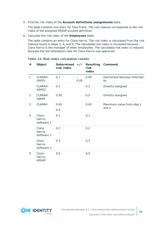5. Find the risk index of the **Account definitions assignments** table.

The table contains one entry for Ines Franz. The risk indexes corresponds to the risk index of the assigned KRSAP account definition.

6. Calculate the risk index of the **Employees** table.

The table contains an entry for Clara Harris. The risk index is calculated from the risk indexes found in steps 3, 4, and 5. The calculated risk index is increased because Clara Harris is the manager of other employees. The calculated risk index is reduced because the last attestation case for Clara Harris was approved.

| # | <b>Object</b>                       | Determined $+/-$<br>risk index |      | <b>Resulting</b><br>risk<br>index | <b>Comment</b>                     |
|---|-------------------------------------|--------------------------------|------|-----------------------------------|------------------------------------|
| 1 | <b>CLARAH:</b><br>SAPG1             | 0,7                            | 0.05 | 0.65                              | Decrement because inherited<br>by  |
|   | <b>CLARAH:</b><br>SAPG <sub>2</sub> | 0.2                            |      | 0.2                               | Directly assigned                  |
| 2 | <b>CLARAH:</b><br><b>SAPSP</b>      | 0.50                           |      | 0.5                               | Directly assigned                  |
| 3 | <b>CLARAH</b>                       | 0.65                           |      | 0.65                              | Maximum value from step 1<br>and 2 |
|   |                                     | 0.5                            |      |                                   |                                    |
| 4 | Clara<br>Harris:<br>Software 1      | 0.1                            |      | 0,1                               |                                    |
|   | Clara<br>Harris:<br>Software 2      | 0,2                            |      | 0.2                               |                                    |
|   | Clara<br>Harris:<br>Software 3      | 0.3                            |      | 0,3                               |                                    |
| 5 | Clara<br>Harris:<br><b>KRSAP</b>    | 0, 0                           |      | 0,0                               |                                    |

#### **Table 13: Risk index calculation results**

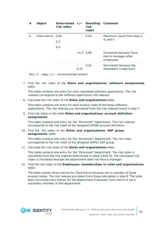| # | <b>Object</b>     | Determined $+/-$<br>risk index |             | <b>Resulting</b><br>risk<br>index | <b>Comment</b>                                               |
|---|-------------------|--------------------------------|-------------|-----------------------------------|--------------------------------------------------------------|
| 6 | Clara Harris 0,65 |                                |             | 0.65                              | Maximum value from step 3,                                   |
|   | 0.3               |                                |             | 4, and 5                          |                                                              |
|   |                   | 0.0                            |             |                                   |                                                              |
|   |                   |                                | $+0.2$ 0.85 |                                   | Increment because Clara<br>Harris manages other<br>employees |
|   |                   |                                | 0.33        | 0.52                              | Decrement because the<br>attestation is approved             |

Key:  $# -$  step,  $+/- -$  increment/decrement

7. Find the risk index of the **Roles and organizations: software assignments** table.

This table contains one entry for each requested software applications. The risk indexes correspond to the software application risk indexes.

8. Calculate the risk index of the **Roles and organizations** table.

This table contains one entry for each product node of the three software applications. The risk indexes are calculated from the risk indexes found in step 7.

9. Find risk index or the table **Roles and organizations: account definition assignments**.

This table contains one entry for the "Personnel" department. The risk indexes corresponds to the risk index of the assigned KRSAP account definition.

#### 10. Find the risk index of the **Roles and organizations: SAP group assignments** table.

This table contains one entry for the "Personnel" department. The risk index corresponds to the risk index of the assigned SAPG1 SAP group.

#### 11. Calculate the risk index of the **Roles and organizations** table.

This table contains one entry for the "Personnel" department. The risk index is calculated from the risk indexes determined in steps 9 and 10. The calculated risk index is increased because the department does not have a manager.

12. Find the risk index of the **Employees: memberships in roles and organizations** table.

The table contain three entries for Clara Harris because she is member of three product nodes. The risk indexes are taken from those calculated in step 8. The table does not contain any entries for the department R because Clara Harris is not a secondary member of this department.

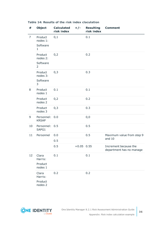| #  | <b>Object</b>                                     | <b>Calculated</b><br>risk index | $+/-$        | <b>Resulting</b><br>risk index | <b>Comment</b>                                    |
|----|---------------------------------------------------|---------------------------------|--------------|--------------------------------|---------------------------------------------------|
| 7  | Product<br>nodes 1:<br>Software<br>$\mathbf{1}$   | 0,1                             |              | 0.1                            |                                                   |
|    | Product<br>nodes 2:<br>Software<br>$\overline{2}$ | 0,2                             |              | 0.2                            |                                                   |
|    | Product<br>nodes 3:<br>Software<br>3              | 0,3                             |              | 0.3                            |                                                   |
| 8  | Product<br>nodes 1                                | 0.1                             |              | 0.1                            |                                                   |
|    | Product<br>nodes 2                                | 0,2                             |              | 0.2                            |                                                   |
|    | Product<br>nodes 3                                | 0,3                             |              | 0.3                            |                                                   |
| 9  | Personnel:<br><b>KRSAP</b>                        | 0.0                             |              | 0,0                            |                                                   |
| 10 | Personnel:<br>SAPG1                               | 0.5                             |              | 0.5                            |                                                   |
| 11 | Personnel                                         | 0.0                             |              | 0.5                            | Maximum value from step 9<br>and 10               |
|    |                                                   | 0.5                             |              |                                |                                                   |
|    |                                                   | 0.5                             | $+0.05$ 0.55 |                                | Increment because the<br>department has no manage |
| 12 | Clara<br>Harris:<br>Product<br>nodes 1            | 0.1                             |              | 0.1                            |                                                   |
|    | Clara<br>Harris:<br>Product<br>nodes 2            | 0.2                             |              | 0.2                            |                                                   |

#### **Table 14: Results of the risk index claculation**

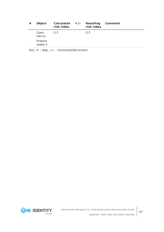| # | <b>Object</b>      | Calculated $+/-$<br>risk index | <b>Resulting</b><br>risk index | <b>Comment</b> |
|---|--------------------|--------------------------------|--------------------------------|----------------|
|   | Clara<br>Harris:   | 0.3                            | 0.3                            |                |
|   | Product<br>nodes 3 |                                |                                |                |

Key: # – step, +/- – increment/decrement

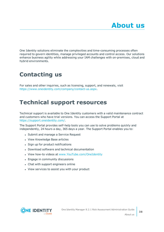<span id="page-37-0"></span>One Identity solutions eliminate the complexities and time-consuming processes often required to govern identities, manage privileged accounts and control access. Our solutions enhance business agility while addressing your IAM challenges with on-premises, cloud and hybrid environments.

# <span id="page-37-1"></span>**Contacting us**

For sales and other inquiries, such as licensing, support, and renewals, visit <https://www.oneidentity.com/company/contact-us.aspx>.

## <span id="page-37-2"></span>**Technical support resources**

Technical support is available to One Identity customers with a valid maintenance contract and customers who have trial versions. You can access the Support Portal at [https://support.oneidentity.com/.](https://support.oneidentity.com/)

The Support Portal provides self-help tools you can use to solve problems quickly and independently, 24 hours a day, 365 days a year. The Support Portal enables you to:

- Submit and manage a Service Request
- View Knowledge Base articles
- Sign up for product notifications
- Download software and technical documentation
- View how-to videos at [www.YouTube.com/OneIdentity](http://www.youtube.com/OneIdentity)
- Engage in community discussions
- Chat with support engineers online
- View services to assist you with your product

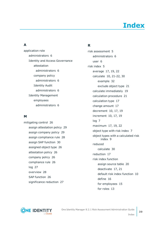# **Index**

### <span id="page-38-0"></span>**A**

application role administrators [6](#page-5-0) Identity and Access Governance attestation administrators [6](#page-5-0) company policy administrators [6](#page-5-0) Identity Audit administrators [6](#page-5-0) Identity Management employees administrators [6](#page-5-0)

#### **M**

mitigating control [26](#page-25-0) assign attestation policy [29](#page-28-0) assign company policy [29](#page-28-1) assign compliance rule [28](#page-27-2) assign SAP function [30](#page-29-0) assigned object type [26](#page-25-1) attestation policy [26](#page-25-1) company policy [26](#page-25-1) compliance rule [26](#page-25-1) log [27](#page-26-0) overview [28](#page-27-1) SAP function [26](#page-25-1) significance reduction [27](#page-26-0)

### **R**

risk assessment [5](#page-4-0) administrators [6](#page-5-0) user [6](#page-5-0) risk index [5](#page-4-0) average [17](#page-16-0), [19](#page-18-0), [22](#page-21-0) calculate [10](#page-9-0), [21-22](#page-20-1), [30](#page-29-1) example [32](#page-31-0) exclude object type [21](#page-20-0) calculate immediately [19](#page-18-0) calculation procedure [21](#page-20-2) calculation type [17](#page-16-0) change amount [17](#page-16-0) decrement [10](#page-9-0), [17,](#page-16-0) [19](#page-18-0) increment [10](#page-9-0), [17,](#page-16-0) [19](#page-18-0) log [7](#page-6-0) maximum [17](#page-16-0), [19,](#page-18-0) [22](#page-21-0) object type with risk index [7](#page-6-0) object types with a calculated risk index [9](#page-8-0) reduced calculate [30](#page-29-1) reduction [17](#page-16-0) risk index function assign source table [20](#page-19-1) deactivate [17](#page-16-0), [21](#page-20-0) default risk index function [10](#page-9-0) define [16](#page-15-0) for employees [15](#page-14-0) for roles [13](#page-12-0)